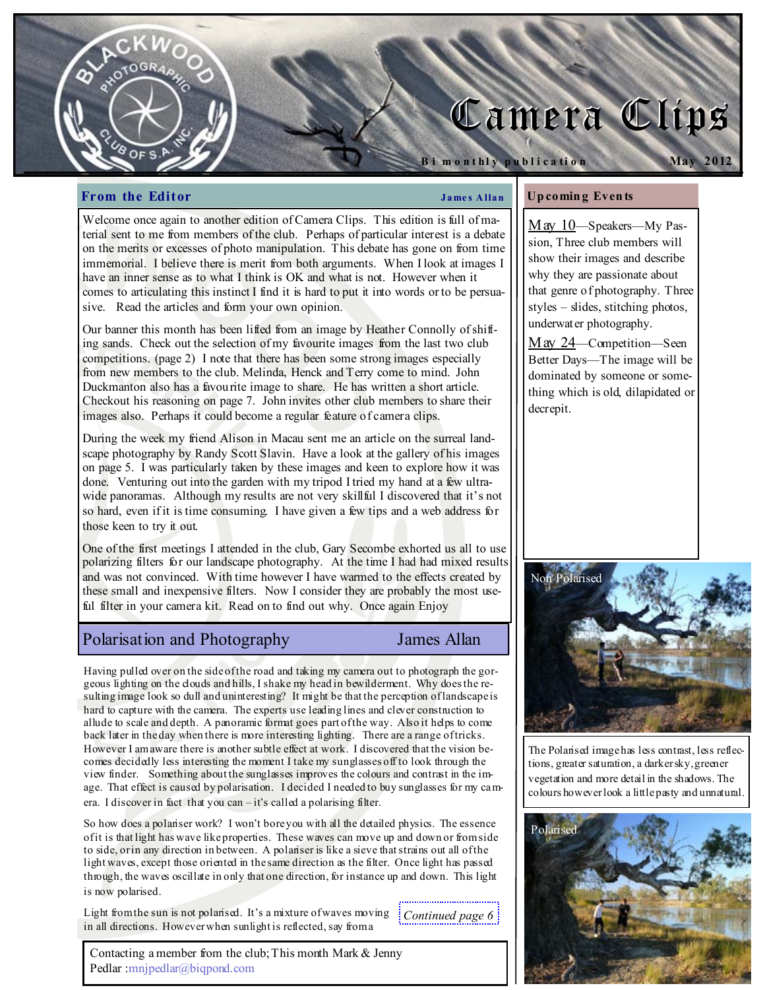# Camera Clips

#### **From the Editor**  $\qquad \qquad \qquad$  James Allan

B i m o n thly publication

Up comin g Even ts

decrepit.

May 10—Speakers—My Passion, Three club members will show their images and describe why they are passionate about that genre of photography. Three styles – slides, stitching photos, underwater photography.

May 2012

May 24—Competition—Seen Better Days—The image will be dominated by someone or something which is old, dilapidated or

Welcome once again to another edition of Camera Clips. This edition is full of material sent to me from members of the club. Perhaps of particular interest is a debate on the merits or excesses of photo manipulation. This debate has gone on from time immemorial. I believe there is merit from both arguments. When I look at images I have an inner sense as to what I think is OK and what is not. However when it comes to articulating this instinct I find it is hard to put it into words or to be persuasive. Read the articles and form your own opinion.

Our banner this month has been lifted from an image by Heather Connolly of shifting sands. Check out the selection of my favourite images from the last two club competitions. (page 2) I note that there has been some strong images especially from new members to the club. Melinda, Henck and Terry come to mind. John Duckmanton also has a favourite image to share. He has written a short article. Checkout his reasoning on page 7. John invites other club members to share their images also. Perhaps it could become a regular feature of camera clips.

During the week my friend Alison in Macau sent me an article on the surreal landscape photography by Randy Scott Slavin. Have a look at the gallery of his images on page 5. I was particularly taken by these images and keen to explore how it was done. Venturing out into the garden with my tripod I tried my hand at a few ultrawide panoramas. Although my results are not very skillful I discovered that it's not so hard, even if it is time consuming. I have given a few tips and a web address for those keen to try it out.

One of the first meetings I attended in the club, Gary Secombe exhorted us all to use polarizing filters for our landscape photography. At the time I had had mixed results and was not convinced. With time however I have warmed to the effects created by these small and inexpensive filters. Now I consider they are probably the most useful filter in your camera kit. Read on to find out why. Once again Enjoy

### Polarisation and Photography James Allan

Having pulled over on the side of the road and taking my camera out to photograph the gorgeous lighting on the clouds and hills, I shake my head in bewilderment. Why does the resulting image look so dull and uninteresting? It might be that the perception of landscape is hard to capture with the camera. The experts use leading lines and clever construction to allude to scale and depth. A panoramic format goes part of the way. Also it helps to come back later in the day when there is more interesting lighting. There are a range of tricks. However I am aware there is another subtle effect at work. I discovered that the vision becomes decidedly less interesting the moment I take my sunglasses off to look through the view finder. Something about the sunglasses improves the colours and contrast in the image. That effect is caused by polarisation. I decided I needed to buy sunglasses for my camera. I discover in fact that you can – it's called a polarising filter.

So how does a polariser work? I won't bore you with all the detailed physics. The essence of it is that light has wave like properties. These waves can move up and down or from side to side, or in any direction in between. A polariser is like a sieve that strains out all of the light waves, except those oriented in the same direction as the filter. Once light has passed through, the waves oscillate in only that one direction, for instance up and down. This light is now polarised.

Light from the sun is not polarised. It's a mixture of waves moving in all directions. However when sunlight is reflected, say from a

 $\frac{1}{2}$  Continued page 6

Contacting a member from the club; This month Mark & Jenny Pedlar :mnjpedlar@biqpond.com



The Polarised image has less contrast, less reflections, greater saturation, a darker sky, greener vegetation and more detail in the shadows. The colours however look a little pasty and unnatural.

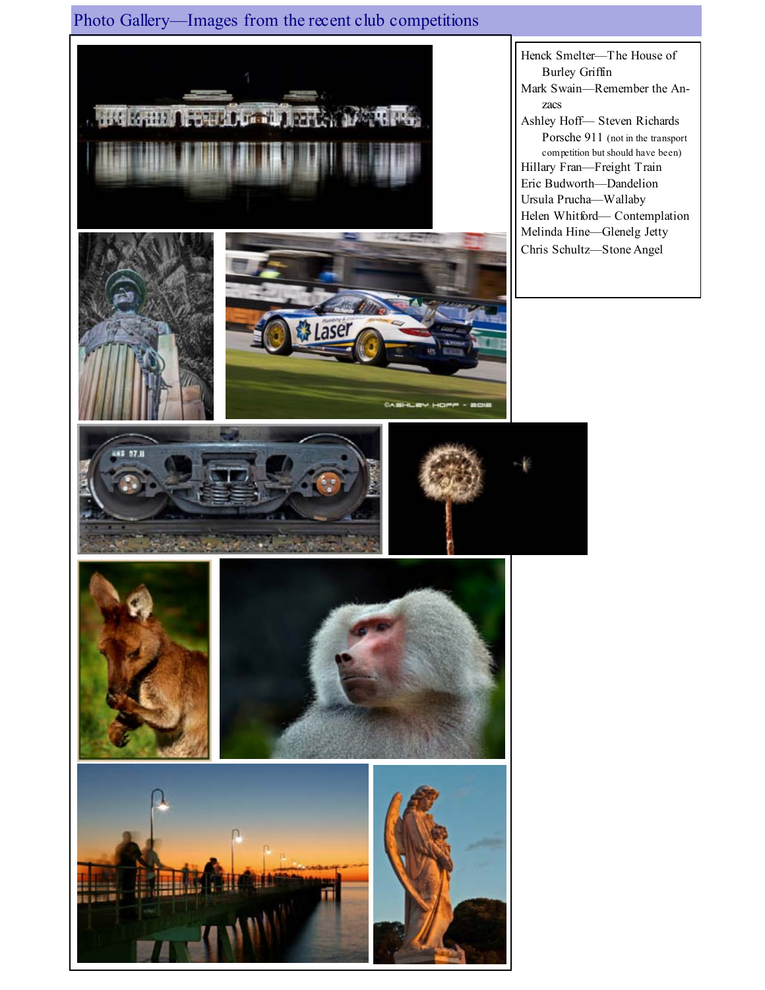Photo Gallery—Images from the recent club competitions



Henck Smelter—The House of Burley Griffin Mark Swain—Remember the Anzacs Ashley Hoff— Steven Richards Porsche 911 (not in the transport competition but should have been) Hillary Fran—Freight Train Eric Budworth—Dandelion Ursula Prucha—Wallaby Helen Whitford— Contemplation Melinda Hine—Glenelg Jetty Chris Schultz—Stone Angel







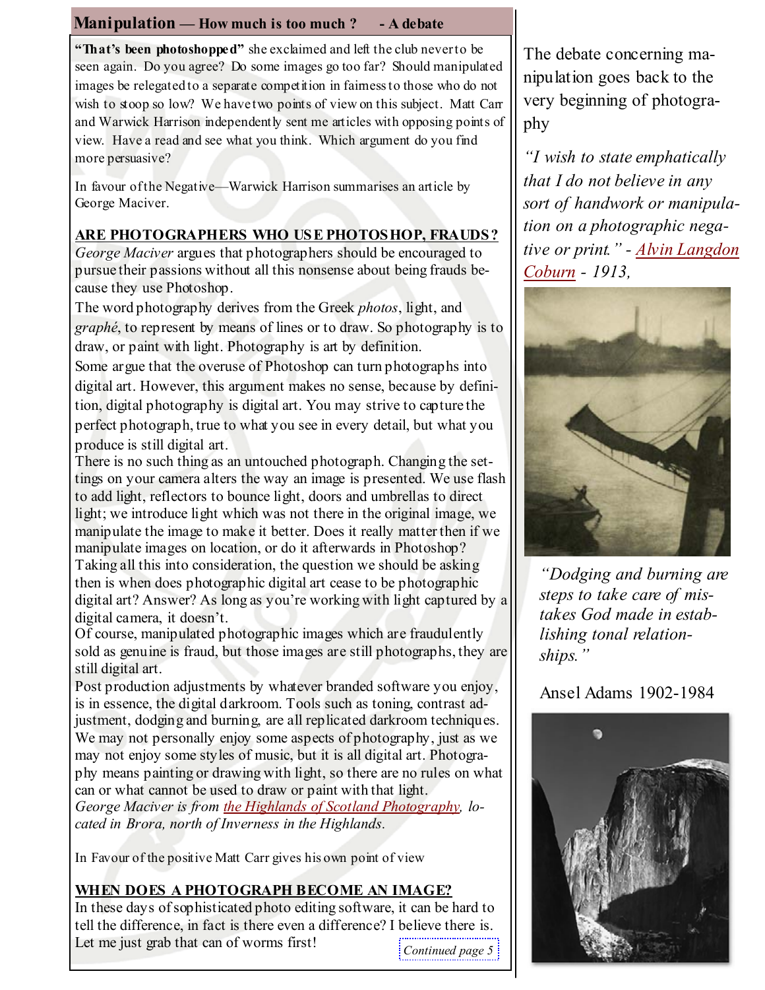# **Manipulation** — How much is too much ?  $-$  A debate

"That's been photoshopped" she exclaimed and left the club never to be seen again. Do you agree? Do some images go too far? Should manipulated images be relegated to a separate competition in fairness to those who do not wish to stoop so low? We have two points of view on this subject. Matt Carr and Warwick Harrison independently sent me articles with opposing points of view. Have a read and see what you think. Which argument do you find more persuasive?

In favour of the Negative—Warwick Harrison summarises an article by George Maciver.

## ARE PHOTOGRAPHERS WHO USE PHOTOSHOP, FRAUDS?

George Maciver argues that photographers should be encouraged to pursue their passions without all this nonsense about being frauds because they use Photoshop.

The word photography derives from the Greek *photos*, light, and graphé, to represent by means of lines or to draw. So photography is to draw, or paint with light. Photography is art by definition.

Some argue that the overuse of Photoshop can turn photographs into digital art. However, this argument makes no sense, because by definition, digital photography is digital art. You may strive to capture the

perfect photograph, true to what you see in every detail, but what you produce is still digital art.

There is no such thing as an untouched photograph. Changing the settings on your camera alters the way an image is presented. We use flash to add light, reflectors to bounce light, doors and umbrellas to direct light; we introduce light which was not there in the original image, we manipulate the image to make it better. Does it really matter then if we manipulate images on location, or do it afterwards in Photoshop? Taking all this into consideration, the question we should be asking then is when does photographic digital art cease to be photographic digital art? Answer? As long as you're working with light captured by a digital camera, it doesn't.

Of course, manipulated photographic images which are fraudulently sold as genuine is fraud, but those images are still photographs, they are still digital art.

Post production adjustments by whatever branded software you enjoy, is in essence, the digital darkroom. Tools such as toning, contrast adjustment, dodging and burning, are all replicated darkroom techniques. We may not personally enjoy some aspects of photography, just as we may not enjoy some styles of music, but it is all digital art. Photography means painting or drawing with light, so there are no rules on what can or what cannot be used to draw or paint with that light. George Maciver is from the Highlands of Scotland Photography, lo-

cated in Brora, north of Inverness in the Highlands.

In Favour of the positive Matt Carr gives his own point of view

# WHEN DOES A PHOTOGRAPH BECOME AN IMAGE?

In these days of sophisticated photo editing software, it can be hard to tell the difference, in fact is there even a difference? I believe there is. Let me just grab that can of worms first!

Continued page 5

The debate concerning manipulation goes back to the very beginning of photography

"I wish to state emphatically that I do not believe in any sort of handwork or manipulation on a photographic negative or print." - Alvin Langdon Coburn - 1913,



"Dodging and burning are steps to take care of mistakes God made in establishing tonal relationships."

# Ansel Adams 1902-1984

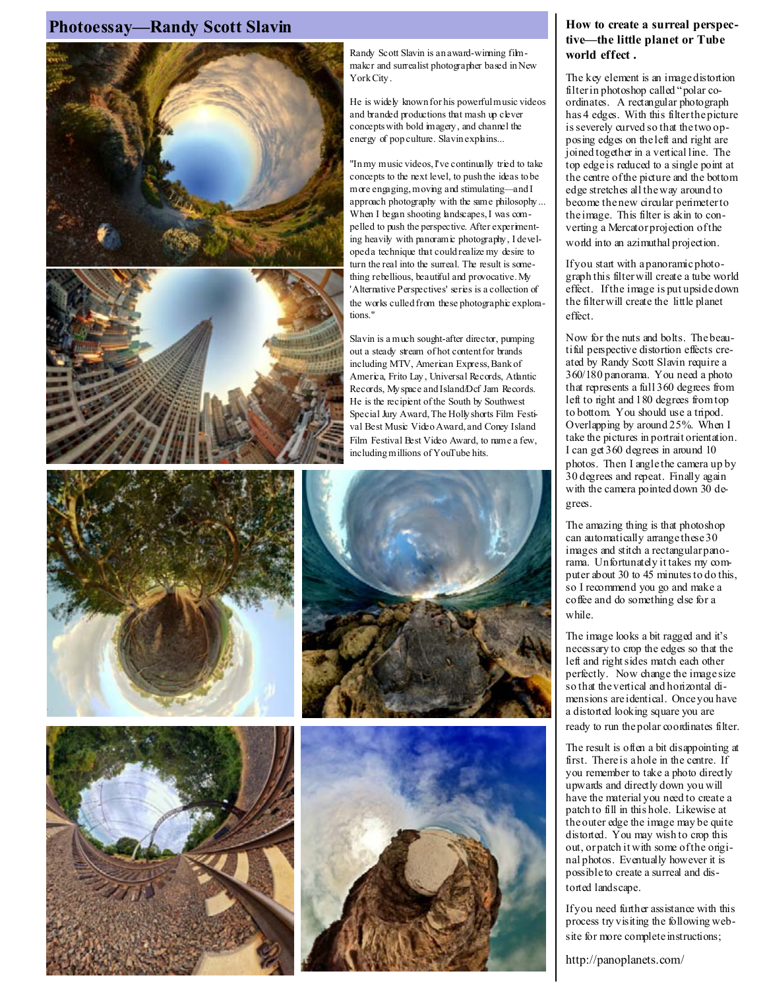### Photoessay—Randy Scott Slavin How to create a surreal perspec-





Randy Scott Slavin is an award-winning filmmakcr and surrealist photographer based in New York City .

He is widely known for his powerful music videos and branded productions that mash up clever concepts with bold imagery , and channel the energy of pop culture. Slavin explains...

"In my music videos, I've continually tried to take concepts to the next level, to push the ideas to be more engaging, moving and stimulating—and I approach photography with the same philosophy ... When I began shooting landscapes, I was compelled to push the perspective. After experimenting heavily with panoramic photography , I developed a technique that could realize my desire to turn the real into the surreal. The result is something rebellious, beautiful and provocative. My 'Alternative Perspectives' series is a collection of the works culled from these photographic explorations."

Slavin is a much sought-after director, pumping out a steady stream of hot content for brands including MTV, American Express, Bank of America, Frito Lay , Universal Records, Atlantic Records, My space and Island/Dcf Jam Records. He is the recipient of the South by Southwest Special Jury Award, The Holly shorts Film Festival Best Music Video Award, and Coney Island Film Festival Best Video Award, to name a few, including millions of YouTube hits.







# tive—the little planet or Tube world effect .

The key element is an image distortion filter in photoshop called "polar coordinates. A rectangular photograph has 4 edges. With this filter the picture is severely curved so that the two opposing edges on the left and right are joined together in a vertical line. The top edge is reduced to a single point at the centre of the picture and the bottom edge stretches all the way around to become the new circular perimeter to the image. This filter is akin to converting a Mercator projection of the world into an azimuthal projection.

If you start with a panoramic photograph this filter will create a tube world effect. If the image is put upside down the filter will create the little planet effect.

Now for the nuts and bolts. The beautiful perspective distortion effects created by Randy Scott Slavin require a 360/180 panorama. You need a photo that represents a full 360 degrees from left to right and 180 degrees from top to bottom. You should use a tripod. Overlapping by around 25%. When I take the pictures in portrait orientation. I can get 360 degrees in around 10 photos. Then I angle the camera up by 30 degrees and repeat. Finally again with the camera pointed down 30 degrees.

The amazing thing is that photoshop can automatically arrange these 30 images and stitch a rectangular panorama. Unfortunately it takes my computer about 30 to 45 minutes to do this, so I recommend you go and make a coffee and do something else for a while.

The image looks a bit ragged and it's necessary to crop the edges so that the left and right sides match each other perfectly. Now change the image size so that the vertical and horizontal dimensions are identical. Once you have a distorted looking square you are ready to run the polar coordinates filter.

The result is often a bit disappointing at first. There is a hole in the centre. If you remember to take a photo directly upwards and directly down you will have the material you need to create a patch to fill in this hole. Likewise at the outer edge the image may be quite distorted. You may wish to crop this out, or patch it with some of the original photos. Eventually however it is possible to create a surreal and distorted landscape.

If you need further assistance with this process try visiting the following website for more complete instructions;

http://panoplanets.com/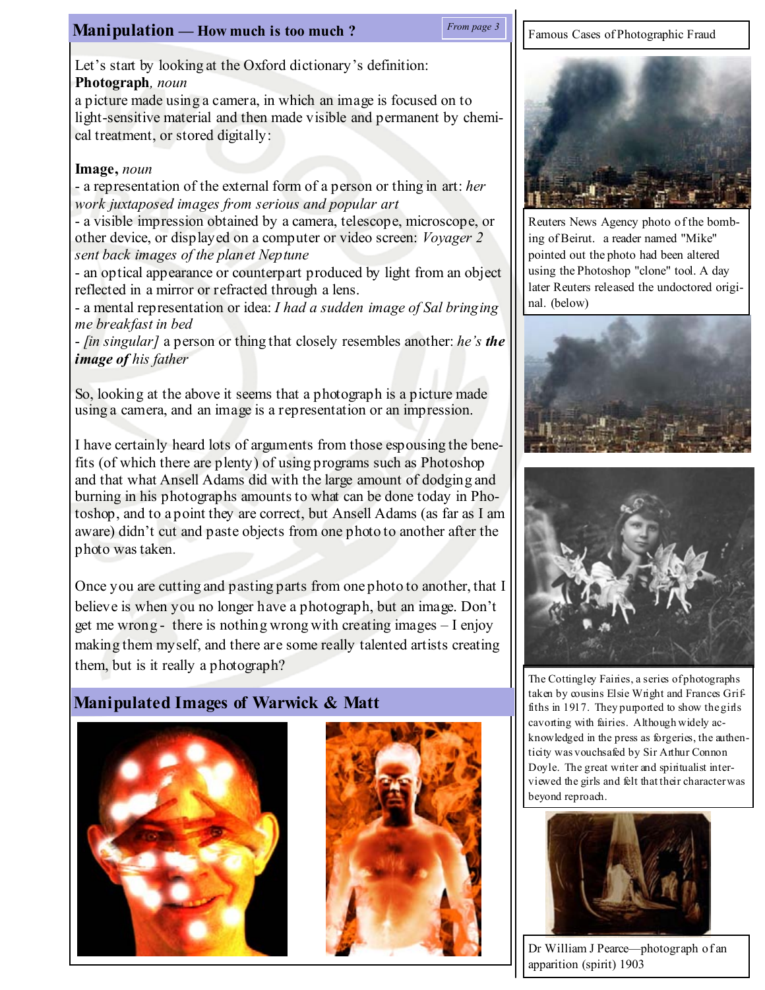# **Manipulation — How much is too much?** From page 3 **F** Famous Cases of Photographic Fraud

#### From page 3

Let's start by looking at the Oxford dictionary's definition: Photograph, noun

a picture made using a camera, in which an image is focused on to light-sensitive material and then made visible and permanent by chemical treatment, or stored digitally:

#### Image, noun

- a representation of the external form of a person or thing in art: her work juxtaposed images from serious and popular art

- a visible impression obtained by a camera, telescope, microscope, or other device, or displayed on a computer or video screen: Voyager 2 sent back images of the planet Neptune

- an optical appearance or counterpart produced by light from an object reflected in a mirror or refracted through a lens.

- a mental representation or idea: I had a sudden image of Sal bringing me breakfast in bed

- [in singular] a person or thing that closely resembles another: he's the image of his father

So, looking at the above it seems that a photograph is a picture made using a camera, and an image is a representation or an impression.

I have certainly heard lots of arguments from those espousing the benefits (of which there are plenty) of using programs such as Photoshop and that what Ansell Adams did with the large amount of dodging and burning in his photographs amounts to what can be done today in Photoshop, and to a point they are correct, but Ansell Adams (as far as I am aware) didn't cut and paste objects from one photo to another after the photo was taken.

Once you are cutting and pasting parts from one photo to another, that I believe is when you no longer have a photograph, but an image. Don't get me wrong - there is nothing wrong with creating images – I enjoy making them myself, and there are some really talented artists creating them, but is it really a photograph?

# Manipulated Images of Warwick & Matt







Reuters News Agency photo of the bombing of Beirut. a reader named "Mike" pointed out the photo had been altered using the Photoshop "clone" tool. A day later Reuters released the undoctored original. (below)





The Cottingley Fairies, a series of photographs taken by cousins Elsie Wright and Frances Griffiths in 1917. They purported to show the girls cavorting with fairies. Although widely acknowledged in the press as forgeries, the authenticity was vouchsafed by Sir Arthur Connon Doyle. The great writer and spiritualist interviewed the girls and felt that their character was beyond reproach.



Dr William J Pearce—photograph of an apparition (spirit) 1903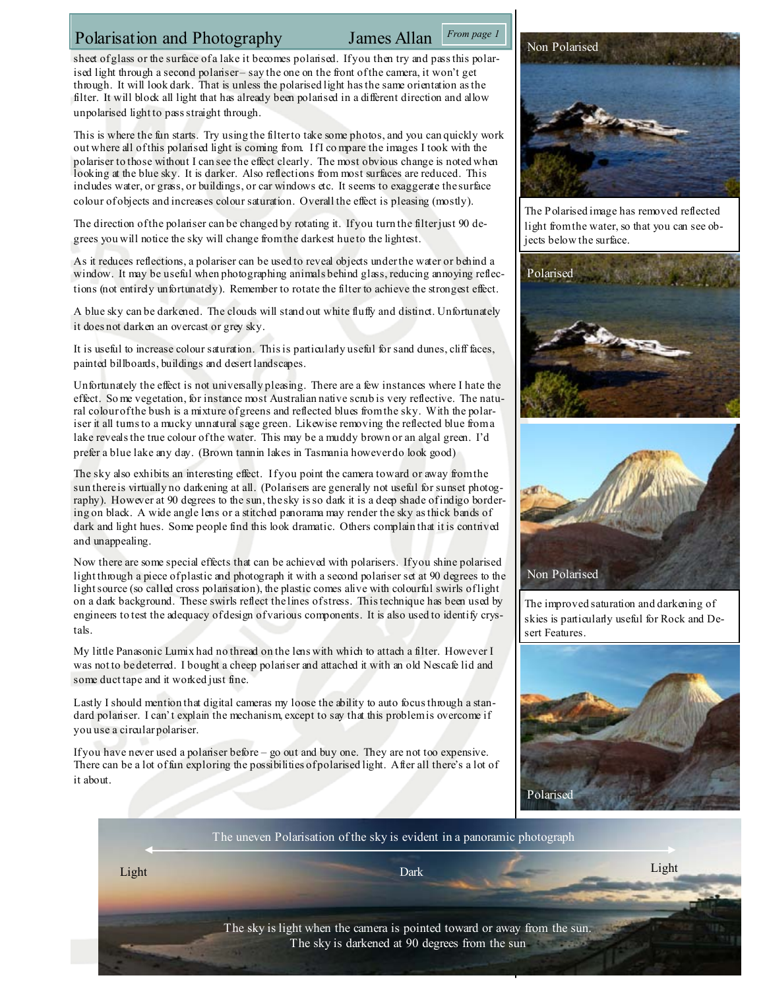## Polarisation and Photography James Allan

#### From page 1

sheet of glass or the surface of a lake it becomes polarised. If you then try and pass this polarised light through a second polariser – say the one on the front of the camera, it won't get through. It will look dark. That is unless the polarised light has the same orientation as the filter. It will block all light that has already been polarised in a different direction and allow unpolarised light to pass straight through.

This is where the fun starts. Try using the filter to take some photos, and you can quickly work out where all of this polarised light is coming from. If I co mpare the images I took with the polariser to those without I can see the effect clearly. The most obvious change is noted when looking at the blue sky. It is darker. Also reflections from most surfaces are reduced. This includes water, or grass, or buildings, or car windows etc. It seems to exaggerate the surface colour of objects and increases colour saturation. Overall the effect is pleasing (mostly).

The direction of the polariser can be changed by rotating it. If you turn the filter just 90 degrees you will notice the sky will change from the darkest hue to the lightest.

As it reduces reflections, a polariser can be used to reveal objects under the water or behind a window. It may be useful when photographing animals behind glass, reducing annoying reflections (not entirely unfortunately). Remember to rotate the filter to achieve the strongest effect.

A blue sky can be darkened. The clouds will stand out white fluffy and distinct. Unfortunately it does not darken an overcast or grey sky.

It is useful to increase colour saturation. This is particularly useful for sand dunes, cliff faces, painted billboards, buildings and desert landscapes.

Unfortunately the effect is not universally pleasing. There are a few instances where I hate the effect. So me vegetation, for instance most Australian native scrub is very reflective. The natural colour of the bush is a mixture of greens and reflected blues from the sky. With the polariser it all tums to a mucky unnatural sage green. Likewise removing the reflected blue from a lake reveals the true colour of the water. This may be a muddy brown or an algal green. I'd prefer a blue lake any day. (Brown tannin lakes in Tasmania however do look good)

The sky also exhibits an interesting effect. If you point the camera toward or away from the sun there is virtually no darkening at all. (Polarisers are generally not useful for sunset photography). However at 90 degrees to the sun, the sky is so dark it is a deep shade of indigo bordering on black. A wide angle lens or a stitched panorama may render the sky as thick bands of dark and light hues. Some people find this look dramatic. Others complain that it is contrived and unappealing.

Now there are some special effects that can be achieved with polarisers. If you shine polarised light through a piece of plastic and photograph it with a second polariser set at 90 degrees to the light source (so called cross polarisation), the plastic comes alive with colourful swirls of light on a dark background. These swirls reflect the lines of stress. This technique has been used by engineers to test the adequacy of design of various components. It is also used to identify crystals.

My little Panasonic Lumix had no thread on the lens with which to attach a filter. However I was not to be deterred. I bought a cheep polariser and attached it with an old Nescafe lid and some duct tape and it worked just fine.

Lastly I should mention that digital cameras my loose the ability to auto focus through a standard polariser. I can't explain the mechanism, except to say that this problem is overcome if you use a circular polariser.

If you have never used a polariser before – go out and buy one. They are not too expensive. There can be a lot of fun exploring the possibilities of polarised light. After all there's a lot of it about.



The Polarised image has removed reflected light from the water, so that you can see objects below the surface.





The improved saturation and darkening of skies is particularly useful for Rock and Desert Features.





Light Dark Light

The sky is light when the camera is pointed toward or away from the sun. The sky is darkened at 90 degrees from the sun